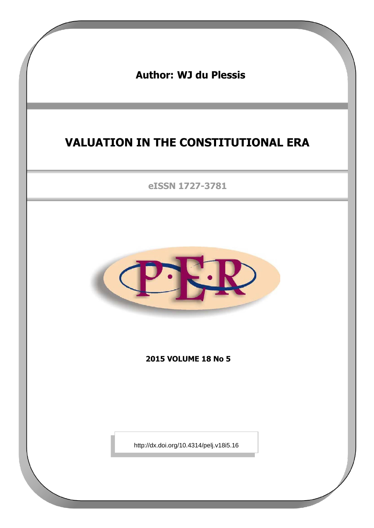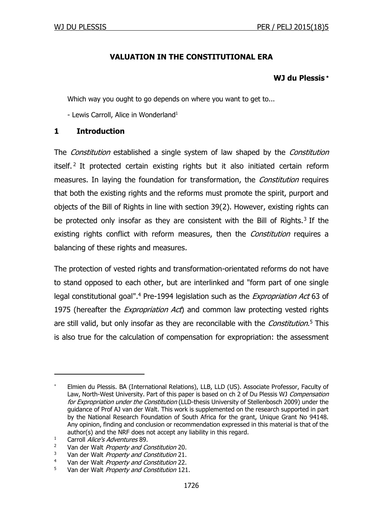## **VALUATION IN THE CONSTITUTIONAL ERA**

### **WJ du Plessis**

Which way you ought to go depends on where you want to get to...

- Lewis Carroll, Alice in Wonderland<sup>1</sup>

## **1 Introduction**

The *Constitution* established a single system of law shaped by the *Constitution* itself. 2 It protected certain existing rights but it also initiated certain reform measures. In laying the foundation for transformation, the *Constitution* requires that both the existing rights and the reforms must promote the spirit, purport and objects of the Bill of Rights in line with section 39(2). However, existing rights can be protected only insofar as they are consistent with the Bill of Rights. $3$  If the existing rights conflict with reform measures, then the *Constitution* requires a balancing of these rights and measures.

The protection of vested rights and transformation-orientated reforms do not have to stand opposed to each other, but are interlinked and "form part of one single legal constitutional goal".<sup>4</sup> Pre-1994 legislation such as the *Expropriation Act* 63 of 1975 (hereafter the *Expropriation Act*) and common law protecting vested rights are still valid, but only insofar as they are reconcilable with the *Constitution*.<sup>5</sup> This is also true for the calculation of compensation for expropriation: the assessment

Elmien du Plessis. BA (International Relations), LLB, LLD (US). Associate Professor, Faculty of Law, North-West University. Part of this paper is based on ch 2 of Du Plessis WJ Compensation for Expropriation under the Constitution (LLD-thesis University of Stellenbosch 2009) under the guidance of Prof AJ van der Walt. This work is supplemented on the research supported in part by the National Research Foundation of South Africa for the grant, Unique Grant No 94148. Any opinion, finding and conclusion or recommendation expressed in this material is that of the author(s) and the NRF does not accept any liability in this regard.

<sup>&</sup>lt;sup>1</sup> Carroll Alice's Adventures 89.

<sup>&</sup>lt;sup>2</sup> Van der Walt Property and Constitution 20.

<sup>&</sup>lt;sup>3</sup> Van der Walt *Property and Constitution* 21.<br><sup>4</sup> Van der Walt *Property and Constitution* 22.

<sup>4</sup> Van der Walt *Property and Constitution* 22.

Van der Walt Property and Constitution 121.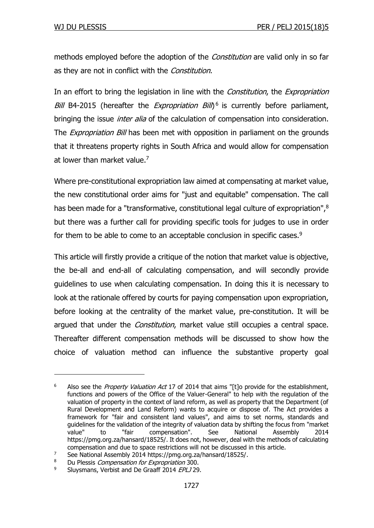methods employed before the adoption of the *Constitution* are valid only in so far as they are not in conflict with the Constitution.

In an effort to bring the legislation in line with the *Constitution*, the *Expropriation* Bill B4-2015 (hereafter the *Expropriation Bill*)<sup>6</sup> is currently before parliament, bringing the issue *inter alia* of the calculation of compensation into consideration. The *Expropriation Bill* has been met with opposition in parliament on the grounds that it threatens property rights in South Africa and would allow for compensation at lower than market value.<sup>7</sup>

Where pre-constitutional expropriation law aimed at compensating at market value, the new constitutional order aims for "just and equitable" compensation. The call has been made for a "transformative, constitutional legal culture of expropriation", ${}^{8}$ but there was a further call for providing specific tools for judges to use in order for them to be able to come to an acceptable conclusion in specific cases.<sup>9</sup>

This article will firstly provide a critique of the notion that market value is objective, the be-all and end-all of calculating compensation, and will secondly provide guidelines to use when calculating compensation. In doing this it is necessary to look at the rationale offered by courts for paying compensation upon expropriation, before looking at the centrality of the market value, pre-constitution. It will be argued that under the *Constitution*, market value still occupies a central space. Thereafter different compensation methods will be discussed to show how the choice of valuation method can influence the substantive property goal

<sup>&</sup>lt;sup>6</sup> Also see the *Property Valuation Act* 17 of 2014 that aims "[t]o provide for the establishment, functions and powers of the Office of the Valuer-General" to help with the regulation of the valuation of property in the context of land reform, as well as property that the Department (of Rural Development and Land Reform) wants to acquire or dispose of. The Act provides a framework for "fair and consistent land values", and aims to set norms, standards and guidelines for the validation of the integrity of valuation data by shifting the focus from "market value" to "fair compensation". See National Assembly 2014 https://pmg.org.za/hansard/18525/. It does not, however, deal with the methods of calculating compensation and due to space restrictions will not be discussed in this article.

<sup>7</sup> See National Assembly 2014 https://pmg.org.za/hansard/18525/.

<sup>&</sup>lt;sup>8</sup> Du Plessis *Compensation for Expropriation* 300.

Sluysmans, Verbist and De Graaff 2014 EPLJ 29.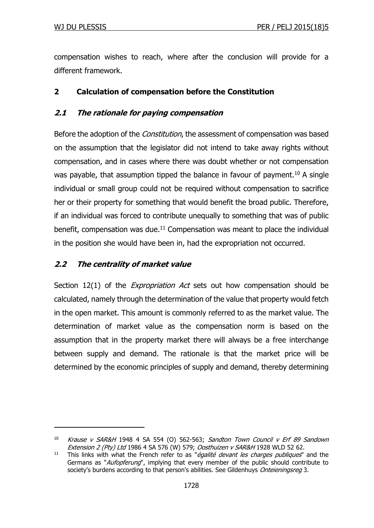compensation wishes to reach, where after the conclusion will provide for a different framework.

# **2 Calculation of compensation before the Constitution**

## **2.1 The rationale for paying compensation**

Before the adoption of the *Constitution*, the assessment of compensation was based on the assumption that the legislator did not intend to take away rights without compensation, and in cases where there was doubt whether or not compensation was payable, that assumption tipped the balance in favour of payment.<sup>10</sup> A single individual or small group could not be required without compensation to sacrifice her or their property for something that would benefit the broad public. Therefore, if an individual was forced to contribute unequally to something that was of public benefit, compensation was due. $11$  Compensation was meant to place the individual in the position she would have been in, had the expropriation not occurred.

# **2.2 The centrality of market value**

 $\overline{a}$ 

Section 12(1) of the *Expropriation Act* sets out how compensation should be calculated, namely through the determination of the value that property would fetch in the open market. This amount is commonly referred to as the market value. The determination of market value as the compensation norm is based on the assumption that in the property market there will always be a free interchange between supply and demand. The rationale is that the market price will be determined by the economic principles of supply and demand, thereby determining

 $10$  Krause v SAR&H 1948 4 SA 554 (O) 562-563; Sandton Town Council v Erf 89 Sandown Extension 2 (Pty) Ltd 1986 4 SA 576 (W) 579; Oosthuizen v SAR&H 1928 WLD 52 62.

<sup>&</sup>lt;sup>11</sup> This links with what the French refer to as "*égalité devant les charges publiques*" and the Germans as "Aufopferung", implying that every member of the public should contribute to society's burdens according to that person's abilities. See Gildenhuys Onteieningsreg 3.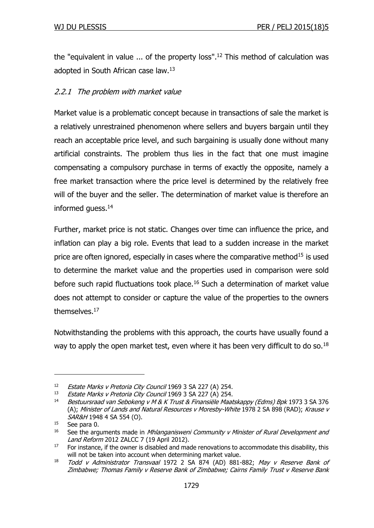the "equivalent in value ... of the property loss". <sup>12</sup> This method of calculation was adopted in South African case law.<sup>13</sup>

# 2.2.1 The problem with market value

Market value is a problematic concept because in transactions of sale the market is a relatively unrestrained phenomenon where sellers and buyers bargain until they reach an acceptable price level, and such bargaining is usually done without many artificial constraints. The problem thus lies in the fact that one must imagine compensating a compulsory purchase in terms of exactly the opposite, namely a free market transaction where the price level is determined by the relatively free will of the buyer and the seller. The determination of market value is therefore an informed guess.<sup>14</sup>

Further, market price is not static. Changes over time can influence the price, and inflation can play a big role. Events that lead to a sudden increase in the market price are often ignored, especially in cases where the comparative method $15$  is used to determine the market value and the properties used in comparison were sold before such rapid fluctuations took place. <sup>16</sup> Such a determination of market value does not attempt to consider or capture the value of the properties to the owners themselves.<sup>17</sup>

Notwithstanding the problems with this approach, the courts have usually found a way to apply the open market test, even where it has been very difficult to do so.<sup>18</sup>

<sup>&</sup>lt;sup>12</sup> Estate Marks v Pretoria City Council 1969 3 SA 227 (A) 254.<br><sup>13</sup> Estate Marks v Pretoria City Council 1969 3 SA 227 (A) 254.

<sup>&</sup>lt;sup>13</sup> Estate Marks v Pretoria City Council 1969 3 SA 227 (A) 254.<br><sup>14</sup> Bestuursraad van Sebokeng v M & K Trust & Finansiële Maat

<sup>14</sup> Bestuursraad van Sebokeng v M & K Trust & Finansiële Maatskappy (Edms) Bpk 1973 3 SA 376 (A); Minister of Lands and Natural Resources v Moresby-White 1978 2 SA 898 (RAD); Krause v SAR&H 1948 4 SA 554 (O).

 $15$  See para [0.](#page-12-0)

See the arguments made in Mhlanganisweni Community v Minister of Rural Development and Land Reform 2012 ZALCC 7 (19 April 2012).

<sup>&</sup>lt;sup>17</sup> For instance, if the owner is disabled and made renovations to accommodate this disability, this will not be taken into account when determining market value.

 $18$  Todd v Administrator Transvaal 1972 2 SA 874 (AD) 881-882; May v Reserve Bank of Zimbabwe; Thomas Family v Reserve Bank of Zimbabwe; Cairns Family Trust v Reserve Bank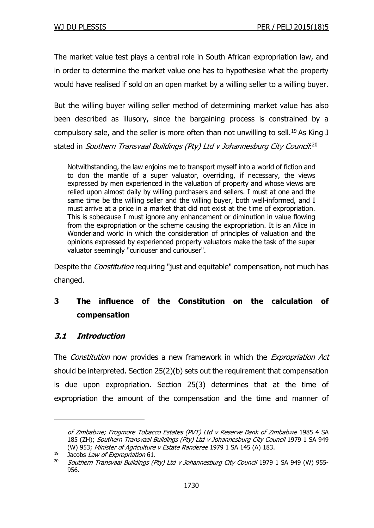The market value test plays a central role in South African expropriation law, and in order to determine the market value one has to hypothesise what the property would have realised if sold on an open market by a willing seller to a willing buyer.

But the willing buyer willing seller method of determining market value has also been described as illusory, since the bargaining process is constrained by a compulsory sale, and the seller is more often than not unwilling to sell.<sup>19</sup> As King J stated in *Southern Transvaal Buildings (Pty) Ltd v Johannesburg City Council*:<sup>20</sup>

Notwithstanding, the law enjoins me to transport myself into a world of fiction and to don the mantle of a super valuator, overriding, if necessary, the views expressed by men experienced in the valuation of property and whose views are relied upon almost daily by willing purchasers and sellers. I must at one and the same time be the willing seller and the willing buyer, both well-informed, and I must arrive at a price in a market that did not exist at the time of expropriation. This is sobecause I must ignore any enhancement or diminution in value flowing from the expropriation or the scheme causing the expropriation. It is an Alice in Wonderland world in which the consideration of principles of valuation and the opinions expressed by experienced property valuators make the task of the super valuator seemingly "curiouser and curiouser".

Despite the *Constitution* requiring "just and equitable" compensation, not much has changed.

# **3 The influence of the Constitution on the calculation of compensation**

# **3.1 Introduction**

 $\overline{a}$ 

The Constitution now provides a new framework in which the *Expropriation Act* should be interpreted. Section 25(2)(b) sets out the requirement that compensation is due upon expropriation. Section 25(3) determines that at the time of expropriation the amount of the compensation and the time and manner of

of Zimbabwe; Frogmore Tobacco Estates (PVT) Ltd v Reserve Bank of Zimbabwe 1985 4 SA 185 (ZH); Southern Transvaal Buildings (Pty) Ltd v Johannesburg City Council 1979 1 SA 949 (W) 953; Minister of Agriculture v Estate Randeree 1979 1 SA 145 (A) 183.

<sup>&</sup>lt;sup>19</sup> Jacobs *Law of Expropriation* 61.<br><sup>20</sup> Southern Transvaal Buildings *(E* 

Southern Transvaal Buildings (Pty) Ltd v Johannesburg City Council 1979 1 SA 949 (W) 955-956.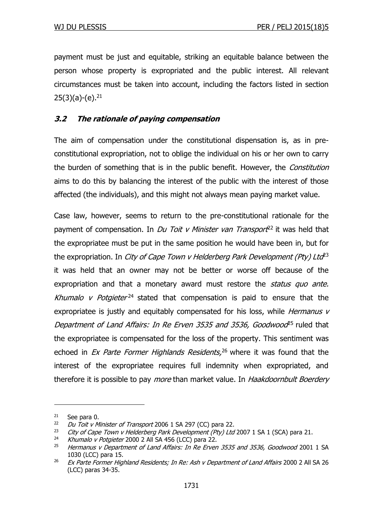payment must be just and equitable, striking an equitable balance between the person whose property is expropriated and the public interest. All relevant circumstances must be taken into account, including the factors listed in section  $25(3)(a)-(e).<sup>21</sup>$ 

# **3.2 The rationale of paying compensation**

The aim of compensation under the constitutional dispensation is, as in preconstitutional expropriation, not to oblige the individual on his or her own to carry the burden of something that is in the public benefit. However, the *Constitution* aims to do this by balancing the interest of the public with the interest of those affected (the individuals), and this might not always mean paying market value.

Case law, however, seems to return to the pre-constitutional rationale for the payment of compensation. In *Du Toit v Minister van Transport*<sup>22</sup> it was held that the expropriatee must be put in the same position he would have been in, but for the expropriation. In *City of Cape Town v Helderberg Park Development (Pty) Ltd<sup>23</sup>* it was held that an owner may not be better or worse off because of the expropriation and that a monetary award must restore the *status quo ante.* Khumalo v Potgieter<sup>24</sup> stated that compensation is paid to ensure that the expropriatee is justly and equitably compensated for his loss, while *Hermanus*  $v$ Department of Land Affairs: In Re Erven 3535 and 3536, Goodwood<sup>25</sup> ruled that the expropriatee is compensated for the loss of the property. This sentiment was echoed in *Ex Parte Former Highlands Residents*,<sup>26</sup> where it was found that the interest of the expropriatee requires full indemnity when expropriated, and therefore it is possible to pay *more* than market value. In Haakdoornbult Boerdery

<sup>&</sup>lt;sup>21</sup> See para [0.](#page-8-0)<br><sup>22</sup> Du Toit v.M

<sup>&</sup>lt;sup>22</sup> Du Toit v Minister of Transport 2006 1 SA 297 (CC) para 22.<br><sup>23</sup> City of Cane Town y Helderberg Park Development (Pty) Ltd.

City of Cape Town v Helderberg Park Development (Pty) Ltd 2007 1 SA 1 (SCA) para 21.

 $24$  Khumalo v Potgieter 2000 2 All SA 456 (LCC) para 22.

 $25$  Hermanus v Department of Land Affairs: In Re Erven 3535 and 3536, Goodwood 2001 1 SA 1030 (LCC) para 15.

<sup>&</sup>lt;sup>26</sup> Ex Parte Former Highland Residents; In Re: Ash v Department of Land Affairs 2000 2 All SA 26 (LCC) paras 34-35.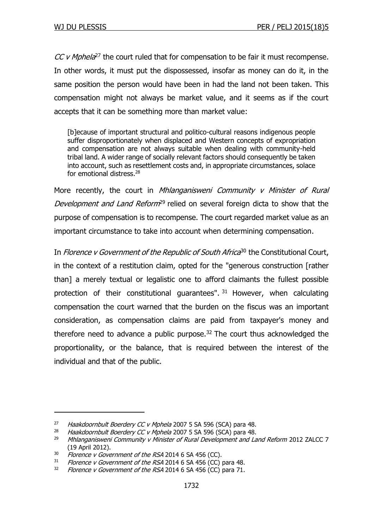CC v Mphela<sup>27</sup> the court ruled that for compensation to be fair it must recompense. In other words, it must put the dispossessed, insofar as money can do it, in the same position the person would have been in had the land not been taken. This compensation might not always be market value, and it seems as if the court accepts that it can be something more than market value:

[b]ecause of important structural and politico-cultural reasons indigenous people suffer disproportionately when displaced and Western concepts of expropriation and compensation are not always suitable when dealing with community-held tribal land. A wider range of socially relevant factors should consequently be taken into account, such as resettlement costs and, in appropriate circumstances, solace for emotional distress.<sup>28</sup>

More recently, the court in *Mhlanganisweni Community v Minister of Rural* Development and Land Reform<sup>29</sup> relied on several foreign dicta to show that the purpose of compensation is to recompense. The court regarded market value as an important circumstance to take into account when determining compensation.

In Florence v Government of the Republic of South Africa<sup>30</sup> the Constitutional Court, in the context of a restitution claim, opted for the "generous construction [rather than] a merely textual or legalistic one to afford claimants the fullest possible protection of their constitutional guarantees". 31 However, when calculating compensation the court warned that the burden on the fiscus was an important consideration, as compensation claims are paid from taxpayer's money and therefore need to advance a public purpose.<sup>32</sup> The court thus acknowledged the proportionality, or the balance, that is required between the interest of the individual and that of the public.

<sup>&</sup>lt;sup>27</sup> Haakdoornbult Boerdery CC v Mphela 2007 5 SA 596 (SCA) para 48.<br><sup>28</sup> Haakdoornbult Boerdery CC v Mphela 2007 5 SA 506 (SCA) para 48.

Haakdoornbult Boerdery CC v Mphela 2007 5 SA 596 (SCA) para 48.

<sup>&</sup>lt;sup>29</sup> Mhlanganisweni Community v Minister of Rural Development and Land Reform 2012 ZALCC 7 (19 April 2012).

<sup>&</sup>lt;sup>30</sup> Florence v Government of the RSA 2014 6 SA 456 (CC).

<sup>&</sup>lt;sup>31</sup> Florence v Government of the RSA 2014 6 SA 456 (CC) para 48.<br><sup>32</sup> Elerence v Government of the RSA 2014 6 SA 456 (CC) para 71.

Florence v Government of the RSA 2014 6 SA 456 (CC) para 71.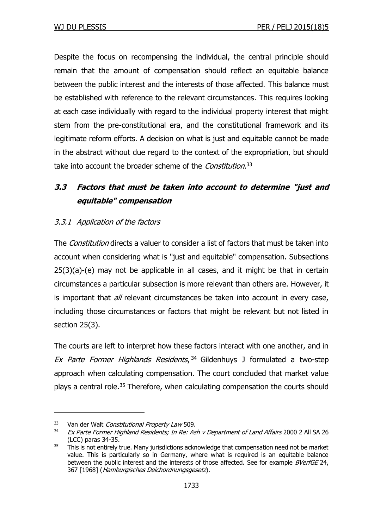Despite the focus on recompensing the individual, the central principle should remain that the amount of compensation should reflect an equitable balance between the public interest and the interests of those affected. This balance must be established with reference to the relevant circumstances. This requires looking at each case individually with regard to the individual property interest that might stem from the pre-constitutional era, and the constitutional framework and its legitimate reform efforts. A decision on what is just and equitable cannot be made in the abstract without due regard to the context of the expropriation, but should take into account the broader scheme of the Constitution.<sup>33</sup>

# <span id="page-8-0"></span>**3.3 Factors that must be taken into account to determine "just and equitable" compensation**

# 3.3.1 Application of the factors

The *Constitution* directs a valuer to consider a list of factors that must be taken into account when considering what is "just and equitable" compensation. Subsections 25(3)(a)-(e) may not be applicable in all cases, and it might be that in certain circumstances a particular subsection is more relevant than others are. However, it is important that *all* relevant circumstances be taken into account in every case, including those circumstances or factors that might be relevant but not listed in section 25(3).

The courts are left to interpret how these factors interact with one another, and in Ex Parte Former Highlands Residents, <sup>34</sup> Gildenhuys J formulated a two-step approach when calculating compensation. The court concluded that market value plays a central role.<sup>35</sup> Therefore, when calculating compensation the courts should

<sup>33</sup> Van der Walt Constitutional Property Law 509.<br> $34.5 \times$  Parte Former Highland Posidenter In Rev 4d

Ex Parte Former Highland Residents; In Re: Ash v Department of Land Affairs 2000 2 All SA 26 (LCC) paras 34-35.

<sup>&</sup>lt;sup>35</sup> This is not entirely true. Many jurisdictions acknowledge that compensation need not be market value. This is particularly so in Germany, where what is required is an equitable balance between the public interest and the interests of those affected. See for example BVerfGE 24, 367 [1968] (Hamburgisches Deichordnungsgesetz).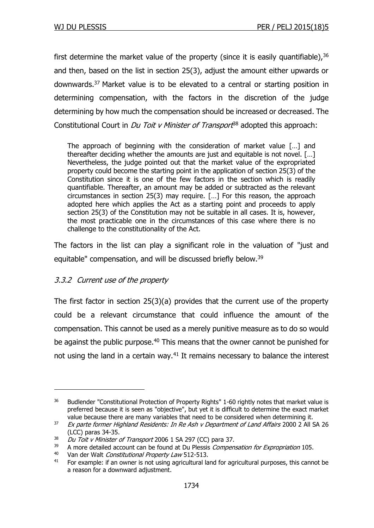first determine the market value of the property (since it is easily quantifiable),  $36$ and then, based on the list in section 25(3), adjust the amount either upwards or downwards.<sup>37</sup> Market value is to be elevated to a central or starting position in determining compensation, with the factors in the discretion of the judge determining by how much the compensation should be increased or decreased. The Constitutional Court in *Du Toit v Minister of Transport*<sup>38</sup> adopted this approach:

The approach of beginning with the consideration of market value […] and thereafter deciding whether the amounts are just and equitable is not novel. […] Nevertheless, the judge pointed out that the market value of the expropriated property could become the starting point in the application of section 25(3) of the Constitution since it is one of the few factors in the section which is readily quantifiable. Thereafter, an amount may be added or subtracted as the relevant circumstances in section 25(3) may require. […] For this reason, the approach adopted here which applies the Act as a starting point and proceeds to apply section 25(3) of the Constitution may not be suitable in all cases. It is, however, the most practicable one in the circumstances of this case where there is no challenge to the constitutionality of the Act.

The factors in the list can play a significant role in the valuation of "just and equitable" compensation, and will be discussed briefly below.<sup>39</sup>

## 3.3.2 Current use of the property

 $\overline{a}$ 

The first factor in section 25(3)(a) provides that the current use of the property could be a relevant circumstance that could influence the amount of the compensation. This cannot be used as a merely punitive measure as to do so would be against the public purpose.<sup>40</sup> This means that the owner cannot be punished for not using the land in a certain way.<sup>41</sup> It remains necessary to balance the interest

<sup>&</sup>lt;sup>36</sup> Budlender "Constitutional Protection of Property Rights" 1-60 rightly notes that market value is preferred because it is seen as "objective", but yet it is difficult to determine the exact market value because there are many variables that need to be considered when determining it.

 $37$  Ex parte former Highland Residents: In Re Ash v Department of Land Affairs 2000 2 All SA 26 (LCC) paras 34-35.

<sup>&</sup>lt;sup>38</sup> Du Toit v Minister of Transport 2006 1 SA 297 (CC) para 37.

<sup>&</sup>lt;sup>39</sup> A more detailed account can be found at Du Plessis Compensation for Expropriation 105.

<sup>&</sup>lt;sup>40</sup> Van der Walt *Constitutional Property Law* 512-513.<br><sup>41</sup> Eor example: if an owner is not using agricultural la

For example: if an owner is not using agricultural land for agricultural purposes, this cannot be a reason for a downward adjustment.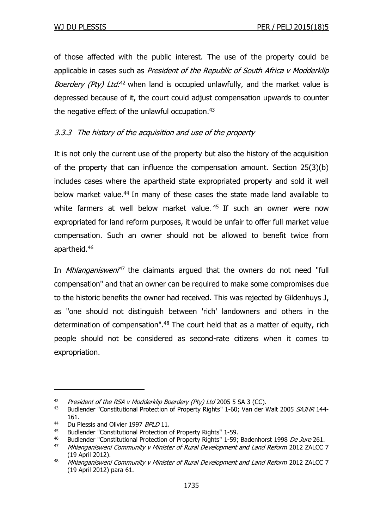of those affected with the public interest. The use of the property could be applicable in cases such as President of the Republic of South Africa v Modderklip Boerdery (Pty) Ltd.<sup>42</sup> when land is occupied unlawfully, and the market value is depressed because of it, the court could adjust compensation upwards to counter the negative effect of the unlawful occupation.<sup>43</sup>

# 3.3.3 The history of the acquisition and use of the property

It is not only the current use of the property but also the history of the acquisition of the property that can influence the compensation amount. Section 25(3)(b) includes cases where the apartheid state expropriated property and sold it well below market value.<sup>44</sup> In many of these cases the state made land available to white farmers at well below market value. <sup>45</sup> If such an owner were now expropriated for land reform purposes, it would be unfair to offer full market value compensation. Such an owner should not be allowed to benefit twice from apartheid.<sup>46</sup>

In *Mhlanganisweni*<sup>47</sup> the claimants argued that the owners do not need "full compensation" and that an owner can be required to make some compromises due to the historic benefits the owner had received. This was rejected by Gildenhuys J, as "one should not distinguish between 'rich' landowners and others in the determination of compensation". <sup>48</sup> The court held that as a matter of equity, rich people should not be considered as second-rate citizens when it comes to expropriation.

<sup>&</sup>lt;sup>42</sup> President of the RSA v Modderklip Boerdery (Pty) Ltd 2005 5 SA 3 (CC).<br><sup>43</sup> Budlender "Constitutional Protection of Property Rights" 1-60: Van der W

Budlender "Constitutional Protection of Property Rights" 1-60; Van der Walt 2005 SAJHR 144-161.

<sup>&</sup>lt;sup>44</sup> Du Plessis and Olivier 1997  $BPLD$  11.

<sup>45</sup> Budlender "Constitutional Protection of Property Rights" 1-59.

<sup>&</sup>lt;sup>46</sup> Budlender "Constitutional Protection of Property Rights" 1-59; Badenhorst 1998 De Jure 261.

<sup>&</sup>lt;sup>47</sup> Mhlanganisweni Community v Minister of Rural Development and Land Reform 2012 ZALCC 7 (19 April 2012).

<sup>&</sup>lt;sup>48</sup> Mhlanganisweni Community v Minister of Rural Development and Land Reform 2012 ZALCC 7 (19 April 2012) para 61.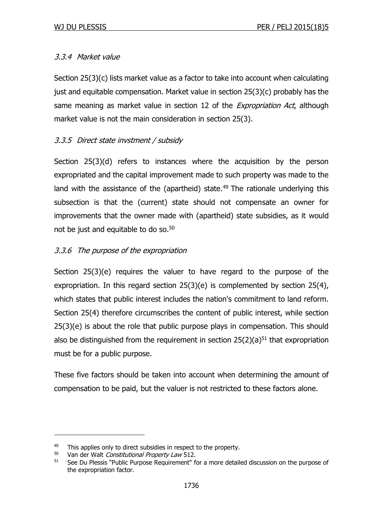# 3.3.4 Market value

Section 25(3)(c) lists market value as a factor to take into account when calculating just and equitable compensation. Market value in section 25(3)(c) probably has the same meaning as market value in section 12 of the *Expropriation Act*, although market value is not the main consideration in section 25(3).

# 3.3.5 Direct state invstment / subsidy

Section 25(3)(d) refers to instances where the acquisition by the person expropriated and the capital improvement made to such property was made to the land with the assistance of the (apartheid) state.<sup>49</sup> The rationale underlying this subsection is that the (current) state should not compensate an owner for improvements that the owner made with (apartheid) state subsidies, as it would not be just and equitable to do so.<sup>50</sup>

# 3.3.6 The purpose of the expropriation

Section 25(3)(e) requires the valuer to have regard to the purpose of the expropriation. In this regard section 25(3)(e) is complemented by section 25(4), which states that public interest includes the nation's commitment to land reform. Section 25(4) therefore circumscribes the content of public interest, while section 25(3)(e) is about the role that public purpose plays in compensation. This should also be distinguished from the requirement in section  $25(2)(a)^{51}$  that expropriation must be for a public purpose.

These five factors should be taken into account when determining the amount of compensation to be paid, but the valuer is not restricted to these factors alone.

 $49$  This applies only to direct subsidies in respect to the property.

<sup>&</sup>lt;sup>50</sup> Van der Walt *Constitutional Property Law* 512.<br><sup>51</sup> See Du Plessis "Public Purpose Requirement" fo

See Du Plessis "Public Purpose Requirement" for a more detailed discussion on the purpose of the expropriation factor.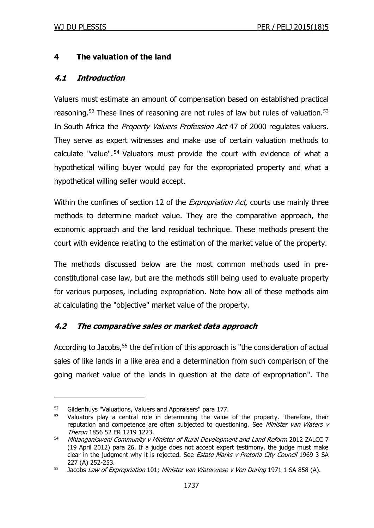## **4 The valuation of the land**

### **4.1 Introduction**

Valuers must estimate an amount of compensation based on established practical reasoning.<sup>52</sup> These lines of reasoning are not rules of law but rules of valuation.<sup>53</sup> In South Africa the *Property Valuers Profession Act* 47 of 2000 regulates valuers. They serve as expert witnesses and make use of certain valuation methods to calculate "value".<sup>54</sup> Valuators must provide the court with evidence of what a hypothetical willing buyer would pay for the expropriated property and what a hypothetical willing seller would accept.

Within the confines of section 12 of the *Expropriation Act*, courts use mainly three methods to determine market value. They are the comparative approach, the economic approach and the land residual technique. These methods present the court with evidence relating to the estimation of the market value of the property.

The methods discussed below are the most common methods used in preconstitutional case law, but are the methods still being used to evaluate property for various purposes, including expropriation. Note how all of these methods aim at calculating the "objective" market value of the property.

## <span id="page-12-0"></span>**4.2 The comparative sales or market data approach**

According to Jacobs,<sup>55</sup> the definition of this approach is "the consideration of actual sales of like lands in a like area and a determination from such comparison of the going market value of the lands in question at the date of expropriation". The

<sup>&</sup>lt;sup>52</sup> Gildenhuys "Valuations, Valuers and Appraisers" para 177.<br><sup>53</sup> Valuators, play a central role in determining the value

Valuators play a central role in determining the value of the property. Therefore, their reputation and competence are often subjected to questioning. See Minister van Waters v Theron 1856 52 ER 1219 1223.

<sup>54</sup> Mhlanganisweni Community v Minister of Rural Development and Land Reform 2012 ZALCC 7 (19 April 2012) para 26. If a judge does not accept expert testimony, the judge must make clear in the judgment why it is rejected. See Estate Marks v Pretoria City Council 1969 3 SA 227 (A) 252-253.

 $^{55}$  Jacobs Law of Expropriation 101; Minister van Waterwese v Von During 1971 1 SA 858 (A).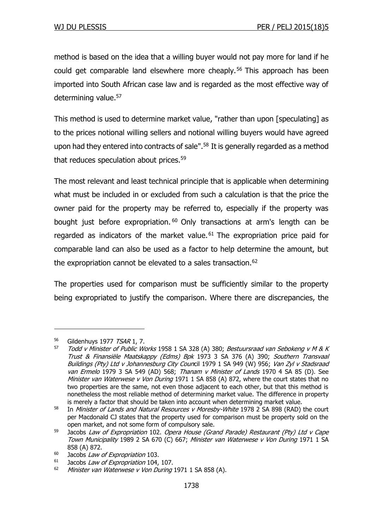method is based on the idea that a willing buyer would not pay more for land if he could get comparable land elsewhere more cheaply.<sup>56</sup> This approach has been imported into South African case law and is regarded as the most effective way of determining value.<sup>57</sup>

This method is used to determine market value, "rather than upon [speculating] as to the prices notional willing sellers and notional willing buyers would have agreed upon had they entered into contracts of sale".<sup>58</sup> It is generally regarded as a method that reduces speculation about prices.<sup>59</sup>

The most relevant and least technical principle that is applicable when determining what must be included in or excluded from such a calculation is that the price the owner paid for the property may be referred to, especially if the property was bought just before expropriation. <sup>60</sup> Only transactions at arm's length can be regarded as indicators of the market value. $61$  The expropriation price paid for comparable land can also be used as a factor to help determine the amount, but the expropriation cannot be elevated to a sales transaction.<sup>62</sup>

The properties used for comparison must be sufficiently similar to the property being expropriated to justify the comparison. Where there are discrepancies, the

 $^{56}$  Gildenhuys 1977 TSAR 1, 7.<br> $^{57}$  Todd v Minister of Public Minister

<sup>57</sup> Todd v Minister of Public Works 1958 1 SA 328 (A) 380; Bestuursraad van Sebokeng v M & K Trust & Finansiële Maatskappy (Edms) Bpk 1973 3 SA 376 (A) 390; Southern Transvaal Buildings (Pty) Ltd v Johannesburg City Council 1979 1 SA 949 (W) 956; Van Zyl v Stadsraad van Ermelo 1979 3 SA 549 (AD) 568; Thanam v Minister of Lands 1970 4 SA 85 (D). See Minister van Waterwese v Von During 1971 1 SA 858 (A) 872, where the court states that no two properties are the same, not even those adjacent to each other, but that this method is nonetheless the most reliable method of determining market value. The difference in property is merely a factor that should be taken into account when determining market value.

 $58$  In Minister of Lands and Natural Resources v Moresby-White 1978 2 SA 898 (RAD) the court per Macdonald CJ states that the property used for comparison must be property sold on the open market, and not some form of compulsory sale.

 $59$  Jacobs Law of Expropriation 102. Opera House (Grand Parade) Restaurant (Pty) Ltd v Cape Town Municipality 1989 2 SA 670 (C) 667; Minister van Waterwese v Von During 1971 1 SA 858 (A) 872.

<sup>&</sup>lt;sup>60</sup> Jacobs Law of Expropriation 103.

<sup>&</sup>lt;sup>61</sup> Jacobs *Law of Expropriation* 104, 107.

Minister van Waterwese v Von During 1971 1 SA 858 (A).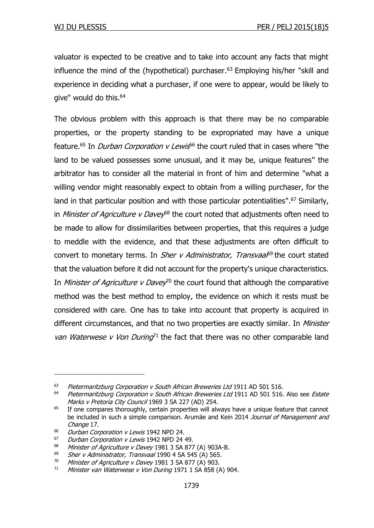valuator is expected to be creative and to take into account any facts that might influence the mind of the (hypothetical) purchaser. $63$  Employing his/her "skill and experience in deciding what a purchaser, if one were to appear, would be likely to give" would do this.<sup>64</sup>

The obvious problem with this approach is that there may be no comparable properties, or the property standing to be expropriated may have a unique feature.<sup>65</sup> In *Durban Corporation v Lewis*<sup>66</sup> the court ruled that in cases where "the land to be valued possesses some unusual, and it may be, unique features" the arbitrator has to consider all the material in front of him and determine "what a willing vendor might reasonably expect to obtain from a willing purchaser, for the land in that particular position and with those particular potentialities".<sup>67</sup> Similarly, in *Minister of Agriculture v Davey*<sup>68</sup> the court noted that adjustments often need to be made to allow for dissimilarities between properties, that this requires a judge to meddle with the evidence, and that these adjustments are often difficult to convert to monetary terms. In *Sher v Administrator, Transvaal*<sup>69</sup> the court stated that the valuation before it did not account for the property's unique characteristics. In *Minister of Agriculture v Davey*<sup>70</sup> the court found that although the comparative method was the best method to employ, the evidence on which it rests must be considered with care. One has to take into account that property is acquired in different circumstances, and that no two properties are exactly similar. In Minister van Waterwese v Von During<sup>71</sup> the fact that there was no other comparable land

<sup>&</sup>lt;sup>63</sup> Pietermaritzburg Corporation v South African Breweries Ltd 1911 AD 501 516.<br><sup>64</sup> Pietermaritzburg Corporation v South African Breweries Ltd 1911 AD 501 516.

Pietermaritzburg Corporation v South African Breweries Ltd 1911 AD 501 516. Also see Estate Marks v Pretoria City Council 1969 3 SA 227 (AD) 254.

 $65$  If one compares thoroughly, certain properties will always have a unique feature that cannot be included in such a simple comparison. Arumäe and Kein 2014 Journal of Management and Change 17.

<sup>&</sup>lt;sup>66</sup> Durban Corporation v Lewis 1942 NPD 24.

<sup>&</sup>lt;sup>67</sup> Durban Corporation v Lewis 1942 NPD 24 49.

<sup>68</sup> Minister of Agriculture v Davey 1981 3 SA 877 (A) 903A-B.

<sup>&</sup>lt;sup>69</sup> Sher v Administrator, Transvaal 1990 4 SA 545 (A) 565.

<sup>&</sup>lt;sup>70</sup> Minister of Agriculture v Davey 1981 3 SA 877 (A) 903.

Minister van Waterwese v Von During 1971 1 SA 858 (A) 904.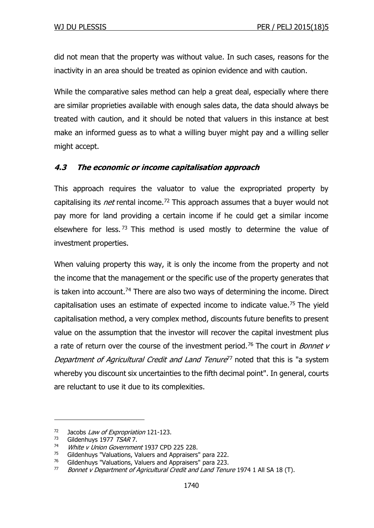did not mean that the property was without value. In such cases, reasons for the inactivity in an area should be treated as opinion evidence and with caution.

While the comparative sales method can help a great deal, especially where there are similar proprieties available with enough sales data, the data should always be treated with caution, and it should be noted that valuers in this instance at best make an informed guess as to what a willing buyer might pay and a willing seller might accept.

# **4.3 The economic or income capitalisation approach**

This approach requires the valuator to value the expropriated property by capitalising its *net* rental income.<sup>72</sup> This approach assumes that a buyer would not pay more for land providing a certain income if he could get a similar income elsewhere for less.  $73$  This method is used mostly to determine the value of investment properties.

When valuing property this way, it is only the income from the property and not the income that the management or the specific use of the property generates that is taken into account.<sup>74</sup> There are also two ways of determining the income. Direct capitalisation uses an estimate of expected income to indicate value.<sup>75</sup> The yield capitalisation method, a very complex method, discounts future benefits to present value on the assumption that the investor will recover the capital investment plus a rate of return over the course of the investment period.<sup>76</sup> The court in *Bonnet v* Department of Agricultural Credit and Land Tenure<sup>77</sup> noted that this is "a system whereby you discount six uncertainties to the fifth decimal point". In general, courts are reluctant to use it due to its complexities.

<sup>&</sup>lt;sup>72</sup> Jacobs Law of Expropriation 121-123.

<sup>&</sup>lt;sup>73</sup> Gildenhuys 1977 TSAR 7.

<sup>&</sup>lt;sup>74</sup> White v Union Government 1937 CPD 225 228.

 $75$  Gildenhuys "Valuations, Valuers and Appraisers" para 222.

<sup>&</sup>lt;sup>76</sup> Gildenhuys "Valuations, Valuers and Appraisers" para 223.<br><sup>77</sup> Bonnet y Denartment of Agricultural Credit and Land Tenu

Bonnet v Department of Agricultural Credit and Land Tenure 1974 1 All SA 18 (T).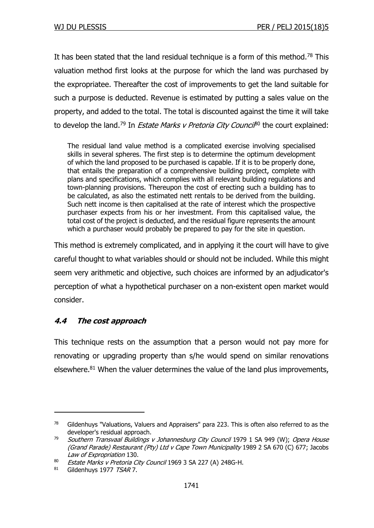It has been stated that the land residual technique is a form of this method.<sup>78</sup> This valuation method first looks at the purpose for which the land was purchased by the expropriatee. Thereafter the cost of improvements to get the land suitable for such a purpose is deducted. Revenue is estimated by putting a sales value on the property, and added to the total. The total is discounted against the time it will take to develop the land.<sup>79</sup> In *Estate Marks v Pretoria City Council*<sup>80</sup> the court explained:

The residual land value method is a complicated exercise involving specialised skills in several spheres. The first step is to determine the optimum development of which the land proposed to be purchased is capable. If it is to be properly done, that entails the preparation of a comprehensive building project, complete with plans and specifications, which complies with all relevant building regulations and town-planning provisions. Thereupon the cost of erecting such a building has to be calculated, as also the estimated nett rentals to be derived from the building. Such nett income is then capitalised at the rate of interest which the prospective purchaser expects from his or her investment. From this capitalised value, the total cost of the project is deducted, and the residual figure represents the amount which a purchaser would probably be prepared to pay for the site in question.

This method is extremely complicated, and in applying it the court will have to give careful thought to what variables should or should not be included. While this might seem very arithmetic and objective, such choices are informed by an adjudicator's perception of what a hypothetical purchaser on a non-existent open market would consider.

# **4.4 The cost approach**

This technique rests on the assumption that a person would not pay more for renovating or upgrading property than s/he would spend on similar renovations elsewhere. $81$  When the valuer determines the value of the land plus improvements,

 $78$  Gildenhuys "Valuations, Valuers and Appraisers" para 223. This is often also referred to as the developer's residual approach.

<sup>79</sup> Southern Transvaal Buildings v Johannesburg City Council 1979 1 SA 949 (W); Opera House (Grand Parade) Restaurant (Pty) Ltd v Cape Town Municipality 1989 2 SA 670 (C) 677; Jacobs Law of Expropriation 130.

<sup>&</sup>lt;sup>80</sup> Estate Marks v Pretoria City Council 1969 3 SA 227 (A) 248G-H.

Gildenhuys 1977 TSAR 7.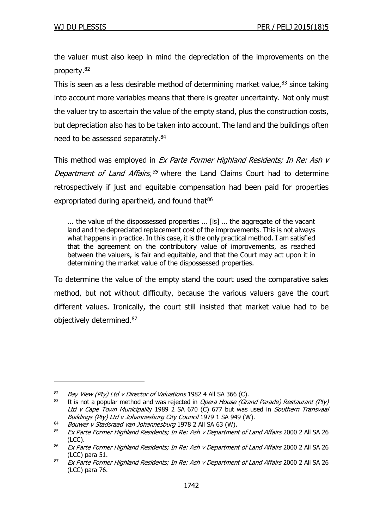$\overline{a}$ 

the valuer must also keep in mind the depreciation of the improvements on the property. 82

This is seen as a less desirable method of determining market value,  $83$  since taking into account more variables means that there is greater uncertainty. Not only must the valuer try to ascertain the value of the empty stand, plus the construction costs, but depreciation also has to be taken into account. The land and the buildings often need to be assessed separately.<sup>84</sup>

This method was employed in Ex Parte Former Highland Residents; In Re: Ash v Department of Land Affairs,<sup>85</sup> where the Land Claims Court had to determine retrospectively if just and equitable compensation had been paid for properties expropriated during apartheid, and found that $86$ 

... the value of the dispossessed properties … [is] … the aggregate of the vacant land and the depreciated replacement cost of the improvements. This is not always what happens in practice. In this case, it is the only practical method. I am satisfied that the agreement on the contributory value of improvements, as reached between the valuers, is fair and equitable, and that the Court may act upon it in determining the market value of the dispossessed properties.

To determine the value of the empty stand the court used the comparative sales method, but not without difficulty, because the various valuers gave the court different values. Ironically, the court still insisted that market value had to be objectively determined. 87

<sup>82</sup> Bay View (Pty) Ltd v Director of Valuations 1982 4 All SA 366 (C).

It is not a popular method and was rejected in Opera House (Grand Parade) Restaurant (Pty) Ltd v Cape Town Municipality 1989 2 SA 670 (C) 677 but was used in Southern Transvaal Buildings (Pty) Ltd v Johannesburg City Council 1979 1 SA 949 (W).

<sup>84</sup> Bouwer v Stadsraad van Johannesburg 1978 2 All SA 63 (W).

Ex Parte Former Highland Residents; In Re: Ash v Department of Land Affairs 2000 2 All SA 26 (LCC).

<sup>86</sup> Ex Parte Former Highland Residents; In Re: Ash v Department of Land Affairs 2000 2 All SA 26 (LCC) para 51.

 $87$  Ex Parte Former Highland Residents; In Re: Ash v Department of Land Affairs 2000 2 All SA 26 (LCC) para 76.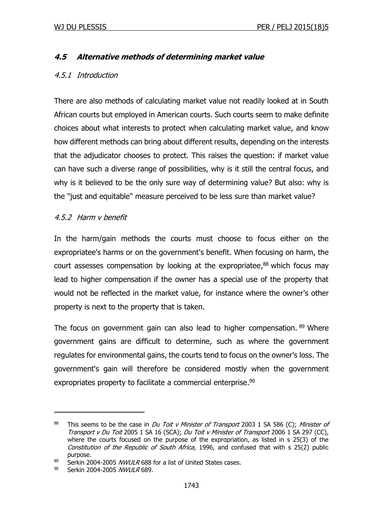## **4.5 Alternative methods of determining market value**

### 4.5.1 Introduction

There are also methods of calculating market value not readily looked at in South African courts but employed in American courts. Such courts seem to make definite choices about what interests to protect when calculating market value, and know how different methods can bring about different results, depending on the interests that the adjudicator chooses to protect. This raises the question: if market value can have such a diverse range of possibilities, why is it still the central focus, and why is it believed to be the only sure way of determining value? But also: why is the "just and equitable" measure perceived to be less sure than market value?

#### 4.5.2 Harm v benefit

In the harm/gain methods the courts must choose to focus either on the expropriatee's harms or on the government's benefit. When focusing on harm, the court assesses compensation by looking at the expropriatee,<sup>88</sup> which focus may lead to higher compensation if the owner has a special use of the property that would not be reflected in the market value, for instance where the owner's other property is next to the property that is taken.

The focus on government gain can also lead to higher compensation. <sup>89</sup> Where government gains are difficult to determine, such as where the government regulates for environmental gains, the courts tend to focus on the owner's loss. The government's gain will therefore be considered mostly when the government expropriates property to facilitate a commercial enterprise.<sup>90</sup>

<span id="page-18-0"></span><sup>&</sup>lt;sup>88</sup> This seems to be the case in *Du Toit v Minister of Transport* 2003 1 SA 586 (C); Minister of Transport v Du Toit 2005 1 SA 16 (SCA); Du Toit v Minister of Transport 2006 1 SA 297 (CC), where the courts focused on the purpose of the expropriation, as listed in s 25(3) of the Constitution of the Republic of South Africa, 1996, and confused that with s 25(2) public purpose.

<sup>89</sup> Serkin 2004-2005 NWULR 688 for a list of United States cases.

<sup>90</sup> Serkin 2004-2005 NWULR 689.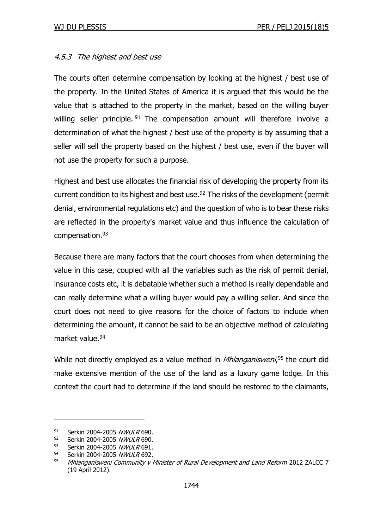# 4.5.3 The highest and best use

The courts often determine compensation by looking at the highest / best use of the property. In the United States of America it is argued that this would be the value that is attached to the property in the market, based on the willing buyer willing seller principle. <sup>91</sup> The compensation amount will therefore involve a determination of what the highest / best use of the property is by assuming that a seller will sell the property based on the highest / best use, even if the buyer will not use the property for such a purpose.

Highest and best use allocates the financial risk of developing the property from its current condition to its highest and best use.<sup>92</sup> The risks of the development (permit denial, environmental regulations etc) and the question of who is to bear these risks are reflected in the property's market value and thus influence the calculation of compensation.<sup>93</sup>

Because there are many factors that the court chooses from when determining the value in this case, coupled with all the variables such as the risk of permit denial, insurance costs etc, it is debatable whether such a method is really dependable and can really determine what a willing buyer would pay a willing seller. And since the court does not need to give reasons for the choice of factors to include when determining the amount, it cannot be said to be an objective method of calculating market value.<sup>94</sup>

While not directly employed as a value method in *Mhlanganisweni*,<sup>95</sup> the court did make extensive mention of the use of the land as a luxury game lodge. In this context the court had to determine if the land should be restored to the claimants,

<sup>91</sup> Serkin 2004-2005 NWULR 690.

<sup>92</sup> Serkin 2004-2005 NWULR 690.

<sup>93</sup> Serkin 2004-2005 NWULR 691.

<sup>94</sup> Serkin 2004-2005 NWULR 692.

<sup>95</sup> Mhlanganisweni Community v Minister of Rural Development and Land Reform 2012 ZALCC 7 (19 April 2012).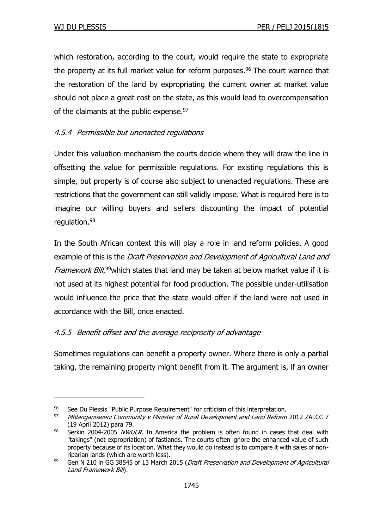$\overline{a}$ 

which restoration, according to the court, would require the state to expropriate the property at its full market value for reform purposes. <sup>96</sup> The court warned that the restoration of the land by expropriating the current owner at market value should not place a great cost on the state, as this would lead to overcompensation of the claimants at the public expense.<sup>97</sup>

# <span id="page-20-0"></span>4.5.4 Permissible but unenacted regulations

Under this valuation mechanism the courts decide where they will draw the line in offsetting the value for permissible regulations. For existing regulations this is simple, but property is of course also subject to unenacted regulations. These are restrictions that the government can still validly impose. What is required here is to imagine our willing buyers and sellers discounting the impact of potential regulation.<sup>98</sup>

In the South African context this will play a role in land reform policies. A good example of this is the Draft Preservation and Development of Agricultural Land and Framework Bill,<sup>99</sup>which states that land may be taken at below market value if it is not used at its highest potential for food production. The possible under-utilisation would influence the price that the state would offer if the land were not used in accordance with the Bill, once enacted.

# 4.5.5 Benefit offset and the average reciprocity of advantage

Sometimes regulations can benefit a property owner. Where there is only a partial taking, the remaining property might benefit from it. The argument is, if an owner

<sup>96</sup> See Du Plessis "Public Purpose Requirement" for criticism of this interpretation.<br>97 Mblanganisusni Community v Minister of Bural Davelopment and Land Boform

<sup>97</sup> Mhlanganisweni Community v Minister of Rural Development and Land Reform 2012 ZALCC 7 (19 April 2012) para 79.

<sup>98</sup> Serkin 2004-2005 NWULR. In America the problem is often found in cases that deal with "takings" (not expropriation) of fastlands. The courts often ignore the enhanced value of such property because of its location. What they would do instead is to compare it with sales of nonriparian lands (which are worth less).

 $99$  Gen N 210 in GG 38545 of 13 March 2015 (*Draft Preservation and Development of Agricultural* Land Framework Bill).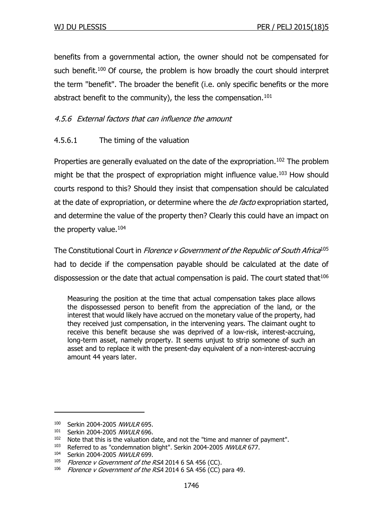benefits from a governmental action, the owner should not be compensated for such benefit.<sup>100</sup> Of course, the problem is how broadly the court should interpret the term "benefit". The broader the benefit (i.e. only specific benefits or the more abstract benefit to the community), the less the compensation. $101$ 

# 4.5.6 External factors that can influence the amount

# 4.5.6.1 The timing of the valuation

Properties are generally evaluated on the date of the expropriation.<sup>102</sup> The problem might be that the prospect of expropriation might influence value.<sup>103</sup> How should courts respond to this? Should they insist that compensation should be calculated at the date of expropriation, or determine where the *de facto* expropriation started, and determine the value of the property then? Clearly this could have an impact on the property value. $104$ 

The Constitutional Court in *Florence v Government of the Republic of South Africa*<sup>105</sup> had to decide if the compensation payable should be calculated at the date of dispossession or the date that actual compensation is paid. The court stated that $106$ 

Measuring the position at the time that actual compensation takes place allows the dispossessed person to benefit from the appreciation of the land, or the interest that would likely have accrued on the monetary value of the property, had they received just compensation, in the intervening years. The claimant ought to receive this benefit because she was deprived of a low-risk, interest-accruing, long-term asset, namely property. It seems unjust to strip someone of such an asset and to replace it with the present-day equivalent of a non-interest-accruing amount 44 years later.

 $^{100}$  Serkin 2004-2005 NWULR 695.<br> $^{101}$  Serkin 2004-2005 NWULLE 696

Serkin 2004-2005 NWULR 696.

 $102$  Note that this is the valuation date, and not the "time and manner of payment".

<sup>&</sup>lt;sup>103</sup> Referred to as "condemnation blight". Serkin 2004-2005 NWULR 677.

<sup>&</sup>lt;sup>104</sup> Serkin 2004-2005 NWULR 699.

<sup>&</sup>lt;sup>105</sup> Florence v Government of the RSA 2014 6 SA 456 (CC).<br><sup>106</sup> Florence v Government of the RSA 2014 6 SA 456 (CC)

Florence v Government of the RSA 2014 6 SA 456 (CC) para 49.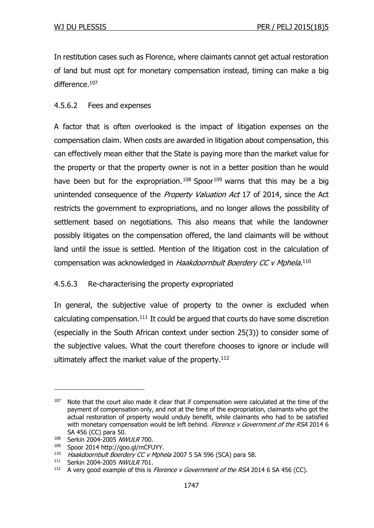In restitution cases such as Florence, where claimants cannot get actual restoration of land but must opt for monetary compensation instead, timing can make a big difference.<sup>107</sup>

### <span id="page-22-0"></span>4.5.6.2 Fees and expenses

A factor that is often overlooked is the impact of litigation expenses on the compensation claim. When costs are awarded in litigation about compensation, this can effectively mean either that the State is paying more than the market value for the property or that the property owner is not in a better position than he would have been but for the expropriation.<sup>108</sup> Spoor<sup>109</sup> warns that this may be a big unintended consequence of the Property Valuation Act 17 of 2014, since the Act restricts the government to expropriations, and no longer allows the possibility of settlement based on negotiations. This also means that while the landowner possibly litigates on the compensation offered, the land claimants will be without land until the issue is settled. Mention of the litigation cost in the calculation of compensation was acknowledged in Haakdoornbult Boerdery CC v Mphela.<sup>110</sup>

## 4.5.6.3 Re-characterising the property expropriated

In general, the subjective value of property to the owner is excluded when calculating compensation.<sup>111</sup> It could be argued that courts do have some discretion (especially in the South African context under section 25(3)) to consider some of the subjective values. What the court therefore chooses to ignore or include will ultimately affect the market value of the property.<sup>112</sup>

<sup>&</sup>lt;sup>107</sup> Note that the court also made it clear that if compensation were calculated at the time of the payment of compensation only, and not at the time of the expropriation, claimants who got the actual restoration of property would unduly benefit, while claimants who had to be satisfied with monetary compensation would be left behind. Florence v Government of the RSA 2014 6 SA 456 (CC) para 50.

<sup>&</sup>lt;sup>108</sup> Serkin 2004-2005 NWULR 700.

<sup>109</sup> Spoor 2014 http://goo.gl/mCFUYY.

<sup>&</sup>lt;sup>110</sup> Haakdoornbult Boerdery CC v Mphela 2007 5 SA 596 (SCA) para 58.<br><sup>111</sup> Serkin 2004-2005 *NWU R* 701

<sup>&</sup>lt;sup>111</sup> Serkin 2004-2005 *NWULR* 701.<br><sup>112</sup> A very good example of this is

A very good example of this is *Florence v Government of the RSA* 2014 6 SA 456 (CC).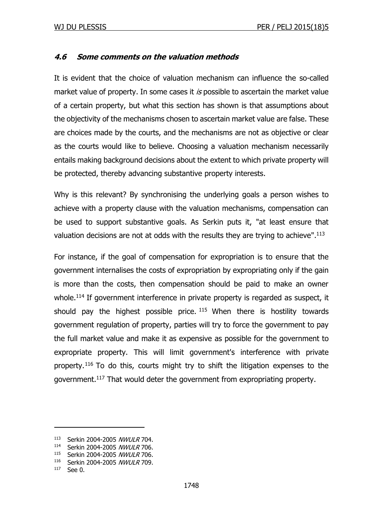### **4.6 Some comments on the valuation methods**

It is evident that the choice of valuation mechanism can influence the so-called market value of property. In some cases it is possible to ascertain the market value of a certain property, but what this section has shown is that assumptions about the objectivity of the mechanisms chosen to ascertain market value are false. These are choices made by the courts, and the mechanisms are not as objective or clear as the courts would like to believe. Choosing a valuation mechanism necessarily entails making background decisions about the extent to which private property will be protected, thereby advancing substantive property interests.

Why is this relevant? By synchronising the underlying goals a person wishes to achieve with a property clause with the valuation mechanisms, compensation can be used to support substantive goals. As Serkin puts it, "at least ensure that valuation decisions are not at odds with the results they are trying to achieve".<sup>113</sup>

For instance, if the goal of compensation for expropriation is to ensure that the government internalises the costs of expropriation by expropriating only if the gain is more than the costs, then compensation should be paid to make an owner whole.<sup>114</sup> If government interference in private property is regarded as suspect, it should pay the highest possible price.  $115$  When there is hostility towards government regulation of property, parties will try to force the government to pay the full market value and make it as expensive as possible for the government to expropriate property. This will limit government's interference with private property.<sup>116</sup> To do this, courts might try to shift the litigation expenses to the government. <sup>117</sup> That would deter the government from expropriating property.

<sup>&</sup>lt;sup>113</sup> Serkin 2004-2005 NWULR 704.<br><sup>114</sup> Serkin 2004-2005 NWULR 706

Serkin 2004-2005 NWULR 706.

<sup>&</sup>lt;sup>115</sup> Serkin 2004-2005 NWULR 706.

<sup>&</sup>lt;sup>116</sup> Serkin 2004-2005 NWULR 709.

<sup>117</sup> See [0.](#page-22-0)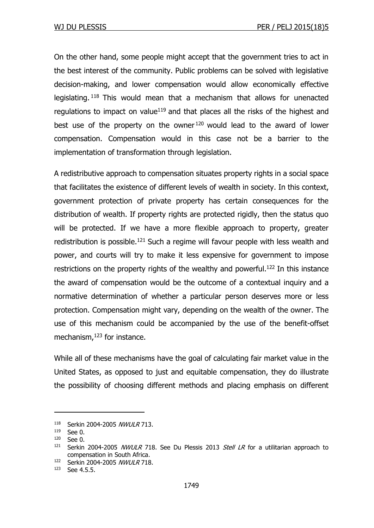On the other hand, some people might accept that the government tries to act in the best interest of the community. Public problems can be solved with legislative decision-making, and lower compensation would allow economically effective legislating. <sup>118</sup> This would mean that a mechanism that allows for unenacted regulations to impact on value<sup>119</sup> and that places all the risks of the highest and best use of the property on the owner  $120$  would lead to the award of lower compensation. Compensation would in this case not be a barrier to the implementation of transformation through legislation.

A redistributive approach to compensation situates property rights in a social space that facilitates the existence of different levels of wealth in society. In this context, government protection of private property has certain consequences for the distribution of wealth. If property rights are protected rigidly, then the status quo will be protected. If we have a more flexible approach to property, greater redistribution is possible.<sup>121</sup> Such a regime will favour people with less wealth and power, and courts will try to make it less expensive for government to impose restrictions on the property rights of the wealthy and powerful.<sup>122</sup> In this instance the award of compensation would be the outcome of a contextual inquiry and a normative determination of whether a particular person deserves more or less protection. Compensation might vary, depending on the wealth of the owner. The use of this mechanism could be accompanied by the use of the benefit-offset mechanism,<sup>123</sup> for instance.

While all of these mechanisms have the goal of calculating fair market value in the United States, as opposed to just and equitable compensation, they do illustrate the possibility of choosing different methods and placing emphasis on different

 $\overline{a}$ 

<sup>123</sup> See 4.5.5.

<sup>&</sup>lt;sup>118</sup> Serkin 2004-2005 NWULR 713.

<sup>119</sup> See [0.](#page-20-0)

<sup>120</sup> See [0.](#page-18-0)

<sup>&</sup>lt;sup>121</sup> Serkin 2004-2005 NWULR 718. See Du Plessis 2013 Stell LR for a utilitarian approach to compensation in South Africa.

<sup>122</sup> Serkin 2004-2005 NWULR 718.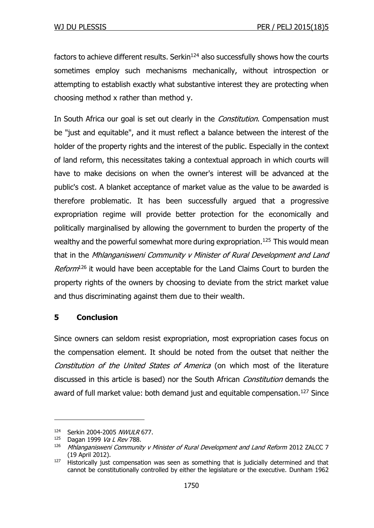factors to achieve different results. Serkin $124$  also successfully shows how the courts sometimes employ such mechanisms mechanically, without introspection or attempting to establish exactly what substantive interest they are protecting when choosing method x rather than method y.

In South Africa our goal is set out clearly in the *Constitution*. Compensation must be "just and equitable", and it must reflect a balance between the interest of the holder of the property rights and the interest of the public. Especially in the context of land reform, this necessitates taking a contextual approach in which courts will have to make decisions on when the owner's interest will be advanced at the public's cost. A blanket acceptance of market value as the value to be awarded is therefore problematic. It has been successfully argued that a progressive expropriation regime will provide better protection for the economically and politically marginalised by allowing the government to burden the property of the wealthy and the powerful somewhat more during expropriation.<sup>125</sup> This would mean that in the Mhlanganisweni Community v Minister of Rural Development and Land Reform<sup>126</sup> it would have been acceptable for the Land Claims Court to burden the property rights of the owners by choosing to deviate from the strict market value and thus discriminating against them due to their wealth.

## **5 Conclusion**

Since owners can seldom resist expropriation, most expropriation cases focus on the compensation element. It should be noted from the outset that neither the Constitution of the United States of America (on which most of the literature discussed in this article is based) nor the South African *Constitution* demands the award of full market value: both demand just and equitable compensation.<sup>127</sup> Since

<sup>124</sup> Serkin 2004-2005 NWULR 677.

<sup>125</sup> Dagan 1999 Va L Rev 788.

<sup>&</sup>lt;sup>126</sup> Mhlanganisweni Community v Minister of Rural Development and Land Reform 2012 ZALCC 7 (19 April 2012).

 $127$  Historically just compensation was seen as something that is judicially determined and that cannot be constitutionally controlled by either the legislature or the executive. Dunham 1962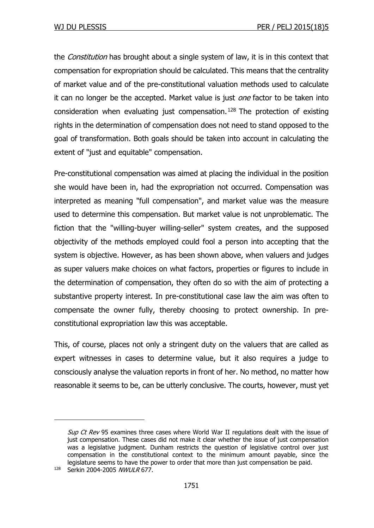the *Constitution* has brought about a single system of law, it is in this context that compensation for expropriation should be calculated. This means that the centrality of market value and of the pre-constitutional valuation methods used to calculate it can no longer be the accepted. Market value is just one factor to be taken into consideration when evaluating just compensation.<sup>128</sup> The protection of existing rights in the determination of compensation does not need to stand opposed to the goal of transformation. Both goals should be taken into account in calculating the extent of "just and equitable" compensation.

Pre-constitutional compensation was aimed at placing the individual in the position she would have been in, had the expropriation not occurred. Compensation was interpreted as meaning "full compensation", and market value was the measure used to determine this compensation. But market value is not unproblematic. The fiction that the "willing-buyer willing-seller" system creates, and the supposed objectivity of the methods employed could fool a person into accepting that the system is objective. However, as has been shown above, when valuers and judges as super valuers make choices on what factors, properties or figures to include in the determination of compensation, they often do so with the aim of protecting a substantive property interest. In pre-constitutional case law the aim was often to compensate the owner fully, thereby choosing to protect ownership. In preconstitutional expropriation law this was acceptable.

This, of course, places not only a stringent duty on the valuers that are called as expert witnesses in cases to determine value, but it also requires a judge to consciously analyse the valuation reports in front of her. No method, no matter how reasonable it seems to be, can be utterly conclusive. The courts, however, must yet

Sup Ct Rev 95 examines three cases where World War II regulations dealt with the issue of just compensation. These cases did not make it clear whether the issue of just compensation was a legislative judgment. Dunham restricts the question of legislative control over just compensation in the constitutional context to the minimum amount payable, since the legislature seems to have the power to order that more than just compensation be paid.

<sup>128</sup> Serkin 2004-2005 NWULR 677.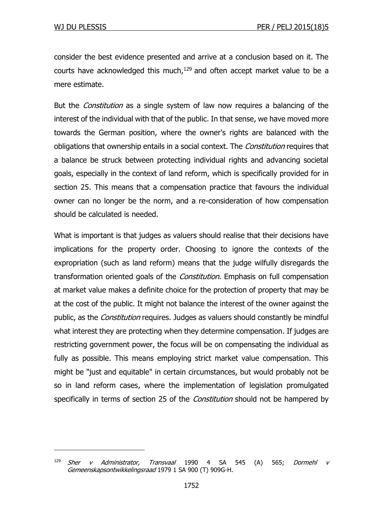$\overline{a}$ 

consider the best evidence presented and arrive at a conclusion based on it. The courts have acknowledged this much, $129$  and often accept market value to be a mere estimate.

But the *Constitution* as a single system of law now requires a balancing of the interest of the individual with that of the public. In that sense, we have moved more towards the German position, where the owner's rights are balanced with the obligations that ownership entails in a social context. The *Constitution* requires that a balance be struck between protecting individual rights and advancing societal goals, especially in the context of land reform, which is specifically provided for in section 25. This means that a compensation practice that favours the individual owner can no longer be the norm, and a re-consideration of how compensation should be calculated is needed.

What is important is that judges as valuers should realise that their decisions have implications for the property order. Choosing to ignore the contexts of the expropriation (such as land reform) means that the judge wilfully disregards the transformation oriented goals of the *Constitution*. Emphasis on full compensation at market value makes a definite choice for the protection of property that may be at the cost of the public. It might not balance the interest of the owner against the public, as the *Constitution* requires. Judges as valuers should constantly be mindful what interest they are protecting when they determine compensation. If judges are restricting government power, the focus will be on compensating the individual as fully as possible. This means employing strict market value compensation. This might be "just and equitable" in certain circumstances, but would probably not be so in land reform cases, where the implementation of legislation promulgated specifically in terms of section 25 of the *Constitution* should not be hampered by

 $129$  Sher v Administrator, Transvaal 1990 4 SA 545 (A) 565; Dormehl v Gemeenskapsontwikkelingsraad 1979 1 SA 900 (T) 909G-H.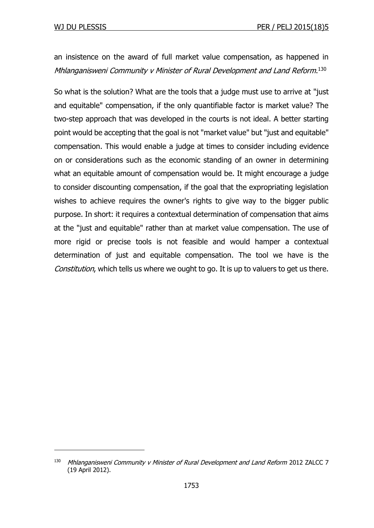$\overline{a}$ 

an insistence on the award of full market value compensation, as happened in Mhlanganisweni Community v Minister of Rural Development and Land Reform. 130

So what is the solution? What are the tools that a judge must use to arrive at "just and equitable" compensation, if the only quantifiable factor is market value? The two-step approach that was developed in the courts is not ideal. A better starting point would be accepting that the goal is not "market value" but "just and equitable" compensation. This would enable a judge at times to consider including evidence on or considerations such as the economic standing of an owner in determining what an equitable amount of compensation would be. It might encourage a judge to consider discounting compensation, if the goal that the expropriating legislation wishes to achieve requires the owner's rights to give way to the bigger public purpose. In short: it requires a contextual determination of compensation that aims at the "just and equitable" rather than at market value compensation. The use of more rigid or precise tools is not feasible and would hamper a contextual determination of just and equitable compensation. The tool we have is the Constitution, which tells us where we ought to go. It is up to valuers to get us there.

<sup>&</sup>lt;sup>130</sup> Mhlanganisweni Community v Minister of Rural Development and Land Reform 2012 ZALCC 7 (19 April 2012).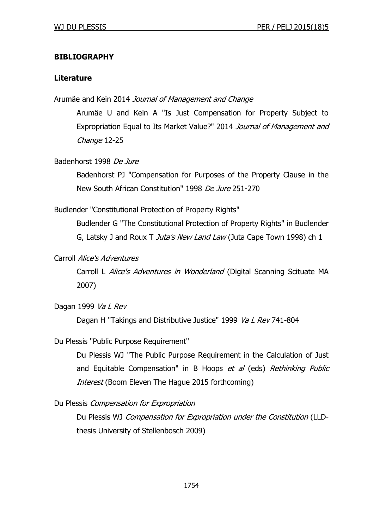#### **BIBLIOGRAPHY**

#### **Literature**

#### Arumäe and Kein 2014 Journal of Management and Change

Arumäe U and Kein A "Is Just Compensation for Property Subject to Expropriation Equal to Its Market Value?" 2014 Journal of Management and Change 12-25

Badenhorst 1998 De Jure

Badenhorst PJ "Compensation for Purposes of the Property Clause in the New South African Constitution" 1998 De Jure 251-270

#### Budlender "Constitutional Protection of Property Rights"

Budlender G "The Constitutional Protection of Property Rights" in Budlender G, Latsky J and Roux T Juta's New Land Law (Juta Cape Town 1998) ch 1

#### Carroll Alice's Adventures

Carroll L Alice's Adventures in Wonderland (Digital Scanning Scituate MA 2007)

#### Dagan 1999 Va L Rev

Dagan H "Takings and Distributive Justice" 1999 Va L Rev 741-804

#### Du Plessis "Public Purpose Requirement"

Du Plessis WJ "The Public Purpose Requirement in the Calculation of Just and Equitable Compensation" in B Hoops et al (eds) Rethinking Public Interest (Boom Eleven The Hague 2015 forthcoming)

Du Plessis Compensation for Expropriation

Du Plessis WJ Compensation for Expropriation under the Constitution (LLDthesis University of Stellenbosch 2009)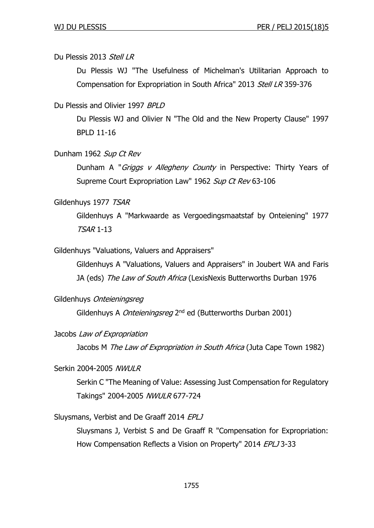#### Du Plessis 2013 Stell LR

Du Plessis WJ "The Usefulness of Michelman's Utilitarian Approach to Compensation for Expropriation in South Africa" 2013 Stell LR 359-376

#### Du Plessis and Olivier 1997 BPLD

Du Plessis WJ and Olivier N "The Old and the New Property Clause" 1997 BPLD 11-16

#### Dunham 1962 Sup Ct Rev

Dunham A "Griggs v Allegheny County in Perspective: Thirty Years of Supreme Court Expropriation Law" 1962 Sup Ct Rev 63-106

#### Gildenhuys 1977 TSAR

Gildenhuys A "Markwaarde as Vergoedingsmaatstaf by Onteiening" 1977 TSAR 1-13

### Gildenhuys "Valuations, Valuers and Appraisers"

Gildenhuys A "Valuations, Valuers and Appraisers" in Joubert WA and Faris JA (eds) The Law of South Africa (LexisNexis Butterworths Durban 1976

#### Gildenhuys Onteieningsreg

Gildenhuys A *Onteieningsreg* 2<sup>nd</sup> ed (Butterworths Durban 2001)

#### Jacobs Law of Expropriation

Jacobs M The Law of Expropriation in South Africa (Juta Cape Town 1982)

#### Serkin 2004-2005 NWULR

Serkin C "The Meaning of Value: Assessing Just Compensation for Regulatory Takings" 2004-2005 NWULR 677-724

#### Sluysmans, Verbist and De Graaff 2014 EPLJ

Sluysmans J, Verbist S and De Graaff R "Compensation for Expropriation: How Compensation Reflects a Vision on Property" 2014 EPLJ 3-33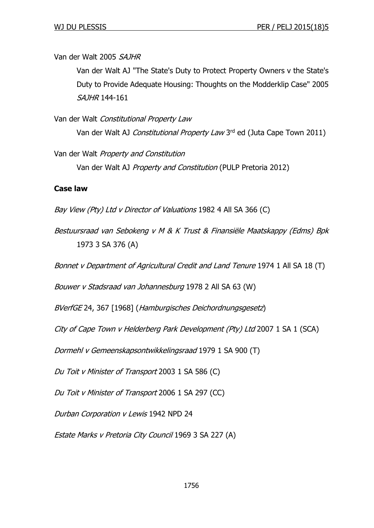Van der Walt 2005 SAJHR

Van der Walt AJ "The State's Duty to Protect Property Owners v the State's Duty to Provide Adequate Housing: Thoughts on the Modderklip Case" 2005 SAJHR 144-161

Van der Walt Constitutional Property Law Van der Walt AJ *Constitutional Property Law* 3<sup>rd</sup> ed (Juta Cape Town 2011)

Van der Walt Property and Constitution Van der Walt AJ Property and Constitution (PULP Pretoria 2012)

## **Case law**

Bay View (Pty) Ltd v Director of Valuations 1982 4 All SA 366 (C)

Bestuursraad van Sebokeng v M & K Trust & Finansiële Maatskappy (Edms) Bpk 1973 3 SA 376 (A)

Bonnet v Department of Agricultural Credit and Land Tenure 1974 1 All SA 18 (T)

Bouwer v Stadsraad van Johannesburg 1978 2 All SA 63 (W)

BVerfGE 24, 367 [1968] (Hamburgisches Deichordnungsgesetz)

City of Cape Town v Helderberg Park Development (Pty) Ltd 2007 1 SA 1 (SCA)

Dormehl v Gemeenskapsontwikkelingsraad 1979 1 SA 900 (T)

Du Toit v Minister of Transport 2003 1 SA 586 (C)

Du Toit v Minister of Transport 2006 1 SA 297 (CC)

Durban Corporation v Lewis 1942 NPD 24

Estate Marks v Pretoria City Council 1969 3 SA 227 (A)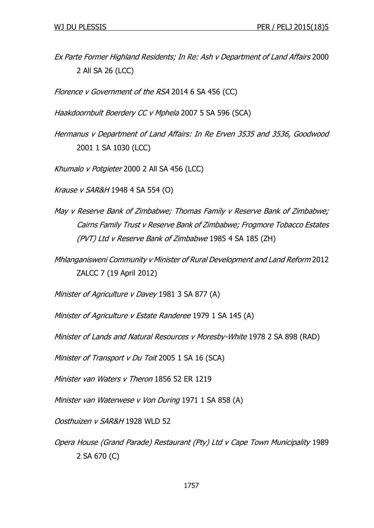Ex Parte Former Highland Residents; In Re: Ash v Department of Land Affairs 2000 2 All SA 26 (LCC)

Florence v Government of the RSA 2014 6 SA 456 (CC)

Haakdoornbult Boerdery CC v Mphela 2007 5 SA 596 (SCA)

Hermanus v Department of Land Affairs: In Re Erven 3535 and 3536, Goodwood 2001 1 SA 1030 (LCC)

Khumalo v Potgieter 2000 2 All SA 456 (LCC)

Krause v SAR&H 1948 4 SA 554 (O)

- May v Reserve Bank of Zimbabwe; Thomas Family v Reserve Bank of Zimbabwe; Cairns Family Trust v Reserve Bank of Zimbabwe; Frogmore Tobacco Estates (PVT) Ltd v Reserve Bank of Zimbabwe 1985 4 SA 185 (ZH)
- Mhlanganisweni Community v Minister of Rural Development and Land Reform 2012 ZALCC 7 (19 April 2012)

Minister of Agriculture v Davey 1981 3 SA 877 (A)

Minister of Agriculture v Estate Randeree 1979 1 SA 145 (A)

Minister of Lands and Natural Resources v Moresby-White 1978 2 SA 898 (RAD)

Minister of Transport v Du Toit 2005 1 SA 16 (SCA)

Minister van Waters v Theron 1856 52 ER 1219

Minister van Waterwese v Von During 1971 1 SA 858 (A)

Oosthuizen v SAR&H 1928 WLD 52

Opera House (Grand Parade) Restaurant (Pty) Ltd v Cape Town Municipality 1989 2 SA 670 (C)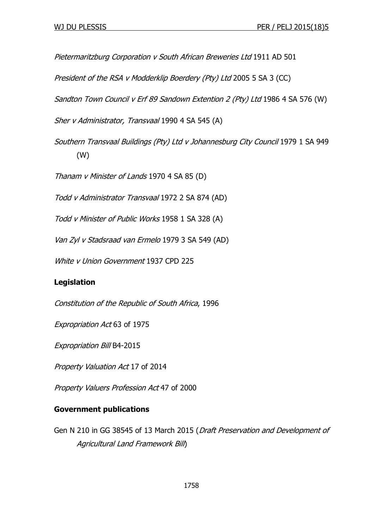Pietermaritzburg Corporation v South African Breweries Ltd 1911 AD 501

President of the RSA v Modderklip Boerdery (Pty) Ltd 2005 5 SA 3 (CC)

Sandton Town Council v Erf 89 Sandown Extention 2 (Pty) Ltd 1986 4 SA 576 (W)

Sher v Administrator, Transvaal 1990 4 SA 545 (A)

Southern Transvaal Buildings (Pty) Ltd v Johannesburg City Council 1979 1 SA 949 (W)

Thanam v Minister of Lands 1970 4 SA 85 (D)

Todd v Administrator Transvaal 1972 2 SA 874 (AD)

Todd v Minister of Public Works 1958 1 SA 328 (A)

Van Zyl v Stadsraad van Ermelo 1979 3 SA 549 (AD)

White v Union Government 1937 CPD 225

#### **Legislation**

Constitution of the Republic of South Africa, 1996

Expropriation Act 63 of 1975

Expropriation Bill B4-2015

Property Valuation Act 17 of 2014

Property Valuers Profession Act 47 of 2000

#### **Government publications**

Gen N 210 in GG 38545 of 13 March 2015 (Draft Preservation and Development of Agricultural Land Framework Bill)